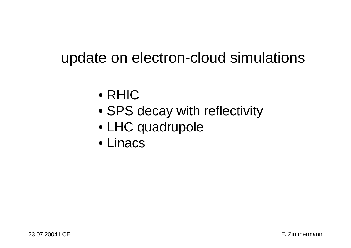## update on electron-cloud simulations

- RHIC
- SPS decay with reflectivity
- LHC quadrupole
- Linacs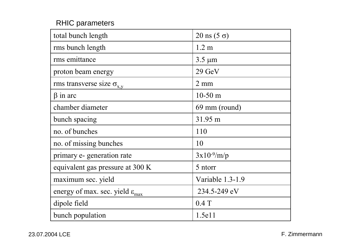## RHIC parameters

| total bunch length                                   | $20 \text{ ns } (5 \text{ }\sigma)$ |
|------------------------------------------------------|-------------------------------------|
| rms bunch length                                     | 1.2 <sub>m</sub>                    |
| rms emittance                                        | $3.5 \mu m$                         |
| proton beam energy                                   | $29$ GeV                            |
| rms transverse size $\sigma_{x,y}$                   | $2 \text{ mm}$                      |
| $\beta$ in arc                                       | $10-50$ m                           |
| chamber diameter                                     | 69 mm (round)                       |
| bunch spacing                                        | 31.95 m                             |
| no. of bunches                                       | 110                                 |
| no. of missing bunches                               | 10                                  |
| primary e- generation rate                           | $3x10^{-9}/m/p$                     |
| equivalent gas pressure at 300 K                     | 5 ntorr                             |
| maximum sec. yield                                   | Variable 1.3-1.9                    |
| energy of max. sec. yield $\varepsilon_{\text{max}}$ | 234.5-249 eV                        |
| dipole field                                         | $0.4$ T                             |
| bunch population                                     | 1.5e11                              |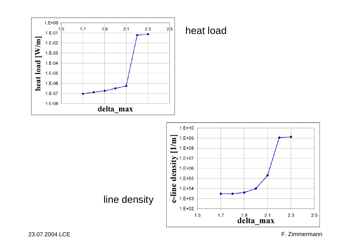

## heat load



F. Zimmermann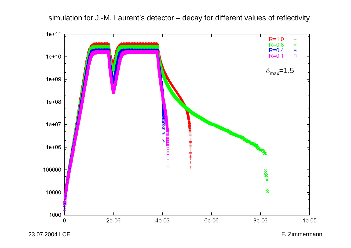

simulation for J.-M. Laurent's detector – decay for different values of reflectivity

23.07.2004 LCE

F. Zimmermann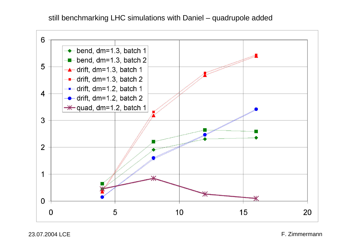still benchmarking LHC simulations with Daniel – quadrupole added

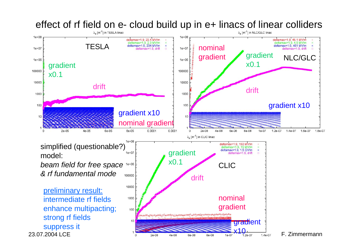